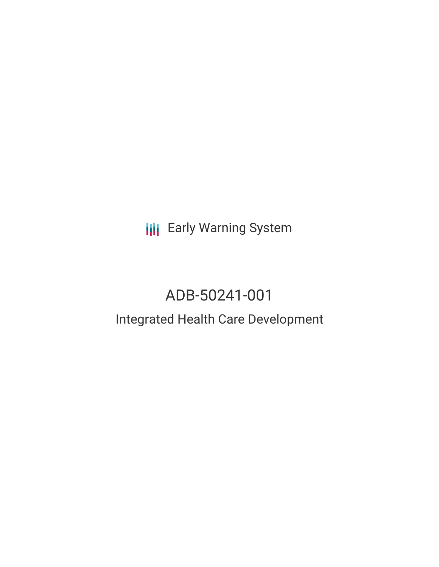**III** Early Warning System

# ADB-50241-001

## Integrated Health Care Development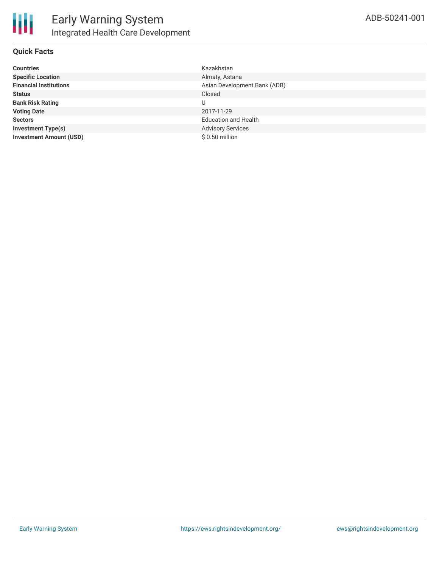#### **Quick Facts**

| <b>Countries</b>               | Kazakhstan                   |
|--------------------------------|------------------------------|
| <b>Specific Location</b>       | Almaty, Astana               |
| <b>Financial Institutions</b>  | Asian Development Bank (ADB) |
| <b>Status</b>                  | Closed                       |
| <b>Bank Risk Rating</b>        | U                            |
| <b>Voting Date</b>             | 2017-11-29                   |
| <b>Sectors</b>                 | <b>Education and Health</b>  |
| <b>Investment Type(s)</b>      | <b>Advisory Services</b>     |
| <b>Investment Amount (USD)</b> | $$0.50$ million              |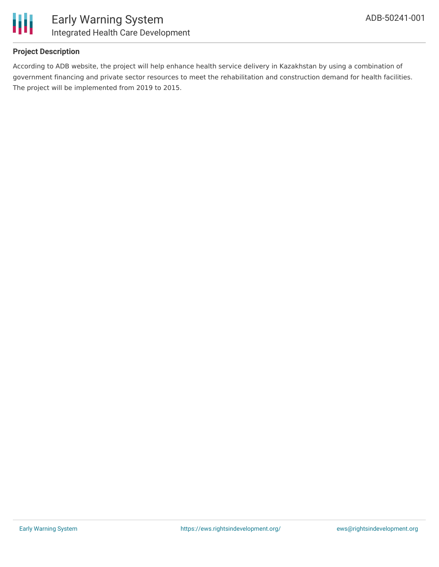

#### **Project Description**

According to ADB website, the project will help enhance health service delivery in Kazakhstan by using a combination of government financing and private sector resources to meet the rehabilitation and construction demand for health facilities. The project will be implemented from 2019 to 2015.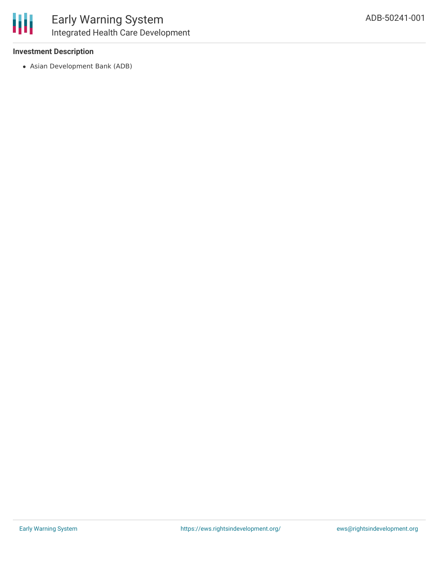#### **Investment Description**

Asian Development Bank (ADB)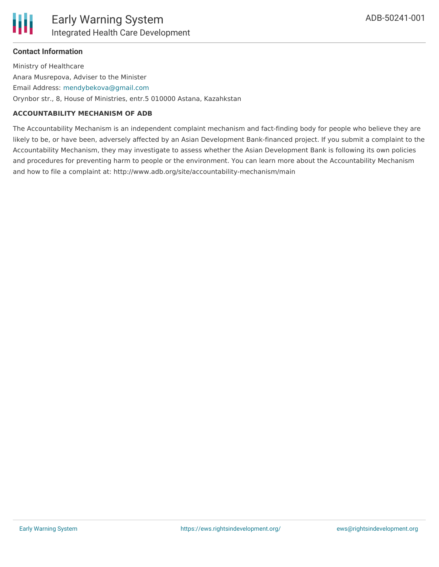### **Contact Information**

Ministry of Healthcare Anara Musrepova, Adviser to the Minister Email Address: [mendybekova@gmail.com](mailto:mendybekova@gmail.com) Orynbor str., 8, House of Ministries, entr.5 010000 Astana, Kazahkstan

#### **ACCOUNTABILITY MECHANISM OF ADB**

The Accountability Mechanism is an independent complaint mechanism and fact-finding body for people who believe they are likely to be, or have been, adversely affected by an Asian Development Bank-financed project. If you submit a complaint to the Accountability Mechanism, they may investigate to assess whether the Asian Development Bank is following its own policies and procedures for preventing harm to people or the environment. You can learn more about the Accountability Mechanism and how to file a complaint at: http://www.adb.org/site/accountability-mechanism/main